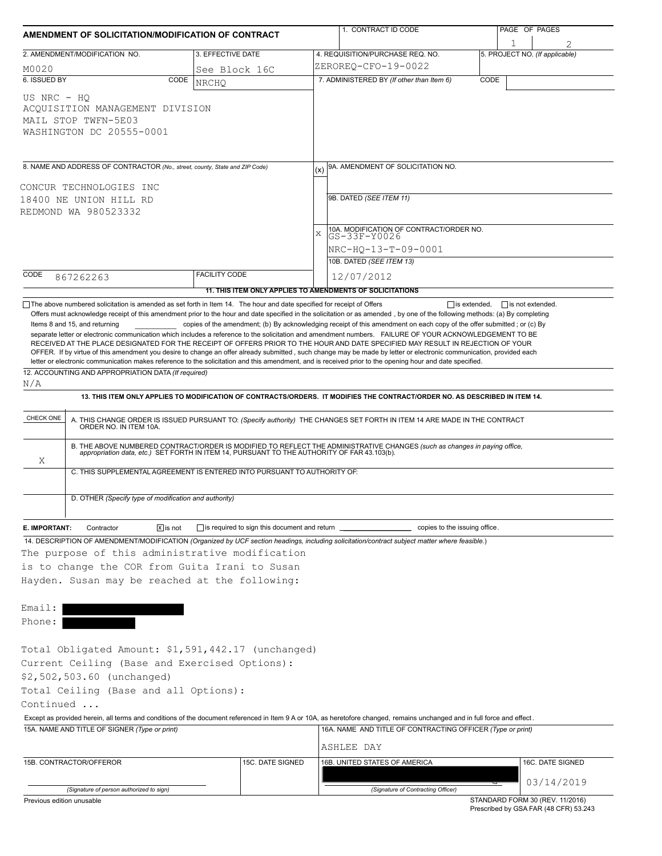| AMENDMENT OF SOLICITATION/MODIFICATION OF CONTRACT                                                                                                    |                                                                                                                                                                                                                       |                                                                          |                     | 1. CONTRACT ID CODE                                                                                                                                                                                                                                                                                                                                                                                                                                                |      | PAGE OF PAGES                       |  |  |  |  |
|-------------------------------------------------------------------------------------------------------------------------------------------------------|-----------------------------------------------------------------------------------------------------------------------------------------------------------------------------------------------------------------------|--------------------------------------------------------------------------|---------------------|--------------------------------------------------------------------------------------------------------------------------------------------------------------------------------------------------------------------------------------------------------------------------------------------------------------------------------------------------------------------------------------------------------------------------------------------------------------------|------|-------------------------------------|--|--|--|--|
| 2. AMENDMENT/MODIFICATION NO.                                                                                                                         |                                                                                                                                                                                                                       | 3. EFFECTIVE DATE                                                        |                     | 4. REQUISITION/PURCHASE REQ. NO.                                                                                                                                                                                                                                                                                                                                                                                                                                   |      | 1<br>5. PROJECT NO. (If applicable) |  |  |  |  |
| M0020                                                                                                                                                 |                                                                                                                                                                                                                       | See Block 16C                                                            |                     | ZEROREO-CFO-19-0022                                                                                                                                                                                                                                                                                                                                                                                                                                                |      |                                     |  |  |  |  |
| 6. ISSUED BY                                                                                                                                          | CODE                                                                                                                                                                                                                  | <b>NRCHO</b>                                                             |                     | 7. ADMINISTERED BY (If other than Item 6)                                                                                                                                                                                                                                                                                                                                                                                                                          | CODE |                                     |  |  |  |  |
| US NRC - HO<br>ACOUISITION MANAGEMENT DIVISION<br>MAIL STOP TWFN-5E03<br>WASHINGTON DC 20555-0001                                                     |                                                                                                                                                                                                                       |                                                                          |                     |                                                                                                                                                                                                                                                                                                                                                                                                                                                                    |      |                                     |  |  |  |  |
| 8. NAME AND ADDRESS OF CONTRACTOR (No., street, county, State and ZIP Code)                                                                           |                                                                                                                                                                                                                       |                                                                          | (x)                 | 9A. AMENDMENT OF SOLICITATION NO.                                                                                                                                                                                                                                                                                                                                                                                                                                  |      |                                     |  |  |  |  |
|                                                                                                                                                       |                                                                                                                                                                                                                       |                                                                          |                     |                                                                                                                                                                                                                                                                                                                                                                                                                                                                    |      |                                     |  |  |  |  |
| CONCUR TECHNOLOGIES INC<br>18400 NE UNION HILL RD                                                                                                     |                                                                                                                                                                                                                       |                                                                          |                     | 9B. DATED (SEE ITEM 11)                                                                                                                                                                                                                                                                                                                                                                                                                                            |      |                                     |  |  |  |  |
| REDMOND WA 980523332                                                                                                                                  |                                                                                                                                                                                                                       |                                                                          |                     |                                                                                                                                                                                                                                                                                                                                                                                                                                                                    |      |                                     |  |  |  |  |
|                                                                                                                                                       |                                                                                                                                                                                                                       |                                                                          |                     | 10A. MODIFICATION OF CONTRACT/ORDER NO.                                                                                                                                                                                                                                                                                                                                                                                                                            |      |                                     |  |  |  |  |
|                                                                                                                                                       |                                                                                                                                                                                                                       |                                                                          | X                   | GS-33F-Y0026                                                                                                                                                                                                                                                                                                                                                                                                                                                       |      |                                     |  |  |  |  |
|                                                                                                                                                       |                                                                                                                                                                                                                       |                                                                          | NRC-HO-13-T-09-0001 |                                                                                                                                                                                                                                                                                                                                                                                                                                                                    |      |                                     |  |  |  |  |
|                                                                                                                                                       |                                                                                                                                                                                                                       |                                                                          |                     | 10B. DATED (SEE ITEM 13)                                                                                                                                                                                                                                                                                                                                                                                                                                           |      |                                     |  |  |  |  |
| CODE<br>867262263                                                                                                                                     |                                                                                                                                                                                                                       | <b>FACILITY CODE</b>                                                     |                     | 12/07/2012                                                                                                                                                                                                                                                                                                                                                                                                                                                         |      |                                     |  |  |  |  |
|                                                                                                                                                       |                                                                                                                                                                                                                       | 11. THIS ITEM ONLY APPLIES TO AMENDMENTS OF SOLICITATIONS                |                     |                                                                                                                                                                                                                                                                                                                                                                                                                                                                    |      |                                     |  |  |  |  |
| 12. ACCOUNTING AND APPROPRIATION DATA (If required)<br>N/A                                                                                            |                                                                                                                                                                                                                       |                                                                          |                     | RECEIVED AT THE PLACE DESIGNATED FOR THE RECEIPT OF OFFERS PRIOR TO THE HOUR AND DATE SPECIFIED MAY RESULT IN REJECTION OF YOUR<br>OFFER. If by virtue of this amendment you desire to change an offer already submitted, such change may be made by letter or electronic communication, provided each<br>letter or electronic communication makes reference to the solicitation and this amendment, and is received prior to the opening hour and date specified. |      |                                     |  |  |  |  |
|                                                                                                                                                       |                                                                                                                                                                                                                       |                                                                          |                     | 13. THIS ITEM ONLY APPLIES TO MODIFICATION OF CONTRACTS/ORDERS. IT MODIFIES THE CONTRACT/ORDER NO. AS DESCRIBED IN ITEM 14.                                                                                                                                                                                                                                                                                                                                        |      |                                     |  |  |  |  |
| CHECK ONE                                                                                                                                             |                                                                                                                                                                                                                       |                                                                          |                     |                                                                                                                                                                                                                                                                                                                                                                                                                                                                    |      |                                     |  |  |  |  |
|                                                                                                                                                       |                                                                                                                                                                                                                       |                                                                          |                     | A. THIS CHANGE ORDER IS ISSUED PURSUANT TO: (Specify authority) THE CHANGES SET FORTH IN ITEM 14 ARE MADE IN THE CONTRACT ORDER NO. IN ITEM 10A.                                                                                                                                                                                                                                                                                                                   |      |                                     |  |  |  |  |
| Χ                                                                                                                                                     | B. THE ABOVE NUMBERED CONTRACT/ORDER IS MODIFIED TO REFLECT THE ADMINISTRATIVE CHANGES (such as changes in paying office, appropriation data, etc.) SET FORTH IN ITEM 14, PURSUANT TO THE AUTHORITY OF FAR 43.103(b). |                                                                          |                     |                                                                                                                                                                                                                                                                                                                                                                                                                                                                    |      |                                     |  |  |  |  |
|                                                                                                                                                       |                                                                                                                                                                                                                       | C. THIS SUPPLEMENTAL AGREEMENT IS ENTERED INTO PURSUANT TO AUTHORITY OF: |                     |                                                                                                                                                                                                                                                                                                                                                                                                                                                                    |      |                                     |  |  |  |  |
|                                                                                                                                                       | D. OTHER (Specify type of modification and authority)                                                                                                                                                                 |                                                                          |                     |                                                                                                                                                                                                                                                                                                                                                                                                                                                                    |      |                                     |  |  |  |  |
| E. IMPORTANT:<br>Contractor                                                                                                                           | $\overline{X}$ is not                                                                                                                                                                                                 | is required to sign this document and return ______                      |                     | copies to the issuing office.                                                                                                                                                                                                                                                                                                                                                                                                                                      |      |                                     |  |  |  |  |
|                                                                                                                                                       |                                                                                                                                                                                                                       |                                                                          |                     | 14. DESCRIPTION OF AMENDMENT/MODIFICATION (Organized by UCF section headings, including solicitation/contract subject matter where feasible.)                                                                                                                                                                                                                                                                                                                      |      |                                     |  |  |  |  |
|                                                                                                                                                       |                                                                                                                                                                                                                       | The purpose of this administrative modification                          |                     |                                                                                                                                                                                                                                                                                                                                                                                                                                                                    |      |                                     |  |  |  |  |
|                                                                                                                                                       |                                                                                                                                                                                                                       | is to change the COR from Guita Irani to Susan                           |                     |                                                                                                                                                                                                                                                                                                                                                                                                                                                                    |      |                                     |  |  |  |  |
|                                                                                                                                                       |                                                                                                                                                                                                                       | Hayden. Susan may be reached at the following:                           |                     |                                                                                                                                                                                                                                                                                                                                                                                                                                                                    |      |                                     |  |  |  |  |
|                                                                                                                                                       |                                                                                                                                                                                                                       |                                                                          |                     |                                                                                                                                                                                                                                                                                                                                                                                                                                                                    |      |                                     |  |  |  |  |
|                                                                                                                                                       |                                                                                                                                                                                                                       |                                                                          |                     |                                                                                                                                                                                                                                                                                                                                                                                                                                                                    |      |                                     |  |  |  |  |
|                                                                                                                                                       |                                                                                                                                                                                                                       |                                                                          |                     |                                                                                                                                                                                                                                                                                                                                                                                                                                                                    |      |                                     |  |  |  |  |
|                                                                                                                                                       |                                                                                                                                                                                                                       |                                                                          |                     |                                                                                                                                                                                                                                                                                                                                                                                                                                                                    |      |                                     |  |  |  |  |
|                                                                                                                                                       |                                                                                                                                                                                                                       | Total Obligated Amount: \$1,591,442.17 (unchanged)                       |                     |                                                                                                                                                                                                                                                                                                                                                                                                                                                                    |      |                                     |  |  |  |  |
|                                                                                                                                                       |                                                                                                                                                                                                                       | Current Ceiling (Base and Exercised Options):                            |                     |                                                                                                                                                                                                                                                                                                                                                                                                                                                                    |      |                                     |  |  |  |  |
|                                                                                                                                                       |                                                                                                                                                                                                                       |                                                                          |                     |                                                                                                                                                                                                                                                                                                                                                                                                                                                                    |      |                                     |  |  |  |  |
|                                                                                                                                                       |                                                                                                                                                                                                                       |                                                                          |                     |                                                                                                                                                                                                                                                                                                                                                                                                                                                                    |      |                                     |  |  |  |  |
|                                                                                                                                                       |                                                                                                                                                                                                                       |                                                                          |                     |                                                                                                                                                                                                                                                                                                                                                                                                                                                                    |      |                                     |  |  |  |  |
|                                                                                                                                                       |                                                                                                                                                                                                                       |                                                                          |                     | Except as provided herein, all terms and conditions of the document referenced in Item 9 A or 10A, as heretofore changed, remains unchanged and in full force and effect.                                                                                                                                                                                                                                                                                          |      |                                     |  |  |  |  |
|                                                                                                                                                       |                                                                                                                                                                                                                       |                                                                          |                     | 16A. NAME AND TITLE OF CONTRACTING OFFICER (Type or print)                                                                                                                                                                                                                                                                                                                                                                                                         |      |                                     |  |  |  |  |
| Email:<br>Phone:<br>\$2,502,503.60 (unchanged)<br>Total Ceiling (Base and all Options):<br>Continued<br>15A. NAME AND TITLE OF SIGNER (Type or print) |                                                                                                                                                                                                                       |                                                                          |                     | ASHLEE DAY                                                                                                                                                                                                                                                                                                                                                                                                                                                         |      |                                     |  |  |  |  |
| 15B. CONTRACTOR/OFFEROR                                                                                                                               |                                                                                                                                                                                                                       | 15C. DATE SIGNED                                                         |                     | 16B. UNITED STATES OF AMERICA                                                                                                                                                                                                                                                                                                                                                                                                                                      |      | 16C. DATE SIGNED                    |  |  |  |  |
| (Signature of person authorized to sign)                                                                                                              |                                                                                                                                                                                                                       |                                                                          |                     | (Signature of Contracting Officer)                                                                                                                                                                                                                                                                                                                                                                                                                                 |      | 03/14/2019                          |  |  |  |  |